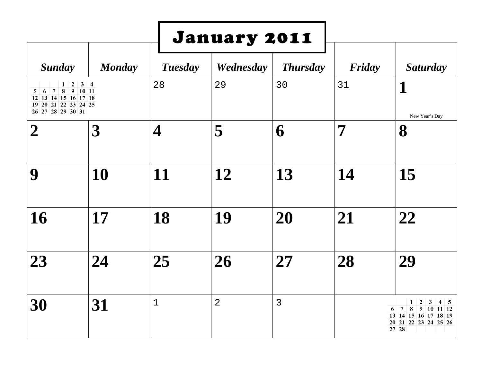|                                                                                                                                         |               |                         | January 2011   |                 |        |                                                                                                                                                            |
|-----------------------------------------------------------------------------------------------------------------------------------------|---------------|-------------------------|----------------|-----------------|--------|------------------------------------------------------------------------------------------------------------------------------------------------------------|
| <b>Sunday</b>                                                                                                                           | <b>Monday</b> | <b>Tuesday</b>          | Wednesday      | <b>Thursday</b> | Friday | <b>Saturday</b>                                                                                                                                            |
| $1 \vert 2$<br>$\overline{7}$<br>$\bf8$<br>$9 \t10 \t11$<br>6<br>5<br>12 13 14 15 16 17 18<br>19 20 21 22 23 24 25<br>26 27 28 29 30 31 | $3 \quad 4$   | 28                      | 29             | 30              | 31     | 1<br>New Year's Day                                                                                                                                        |
| $\mathcal{L}$                                                                                                                           | 3             | $\overline{\mathbf{4}}$ | 5              | 6               | 7      | 8                                                                                                                                                          |
| 9                                                                                                                                       | 10            | 11                      | 12             | 13              | 14     | 15                                                                                                                                                         |
| 16                                                                                                                                      | 17            | 18                      | 19             | 20              | 21     | 22                                                                                                                                                         |
| 23                                                                                                                                      | 24            | 25                      | 26             | 27              | 28     | 29                                                                                                                                                         |
| 30                                                                                                                                      | 31            | $\mathbf 1$             | $\overline{2}$ | $\overline{3}$  |        | 1<br>$\overline{2}$<br>3<br>$4 \mid 5$<br>$\overline{7}$<br>8<br>$9 \mid 10 \mid 11 \mid 12$<br>6<br>13 14 15 16 17 18 19<br>20 21 22 23 24 25 26<br>27 28 |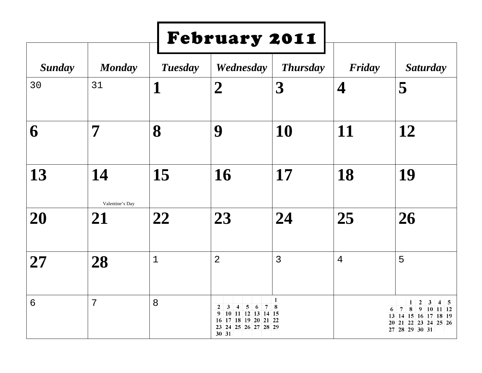|                 |                       |                | February 2011                                                                                                                                                                     |                         |                          |                                                                                                                                                                                |
|-----------------|-----------------------|----------------|-----------------------------------------------------------------------------------------------------------------------------------------------------------------------------------|-------------------------|--------------------------|--------------------------------------------------------------------------------------------------------------------------------------------------------------------------------|
| <b>Sunday</b>   | <b>Monday</b>         | <b>Tuesday</b> | Wednesday                                                                                                                                                                         | <b>Thursday</b>         | Friday                   | <b>Saturday</b>                                                                                                                                                                |
| 30              | 31                    | 1              | $\overline{2}$                                                                                                                                                                    | $\overline{\mathbf{3}}$ | $\overline{\mathcal{A}}$ | 5                                                                                                                                                                              |
| 6               | 7                     | 8              | 9                                                                                                                                                                                 | 10                      | 11                       | 12                                                                                                                                                                             |
| 13              | 14                    | 15             | 16                                                                                                                                                                                | 17                      | 18                       | 19                                                                                                                                                                             |
| 20              | Valentine's Day<br>21 | 22             | 23                                                                                                                                                                                | 24                      | 25                       | 26                                                                                                                                                                             |
| 27              | 28                    | $\mathbf{1}$   | $\overline{2}$                                                                                                                                                                    | $\overline{3}$          | 4                        | 5                                                                                                                                                                              |
| $6\overline{6}$ | 7                     | 8              | $\mathbf{2}$<br>3<br>$\mathbf{5}$<br>6<br>$\overline{7}$<br>4<br>9<br>$10 \mid 11 \mid 12 \mid 13 \mid 14 \mid 15$<br>17 18 19 20 21 22<br>16<br>23<br>24 25 26 27 28 29<br>30 31 | $\mathbf{1}$<br>8       |                          | $\overline{2}$<br>$\mathbf{3}$<br>$\mathbf{1}$<br>$4 \quad 5$<br>8<br>$\overline{7}$<br>9<br>$10$ 11 12<br>6<br>13 14 15 16 17 18 19<br>20 21 22 23 24 25 26<br>27 28 29 30 31 |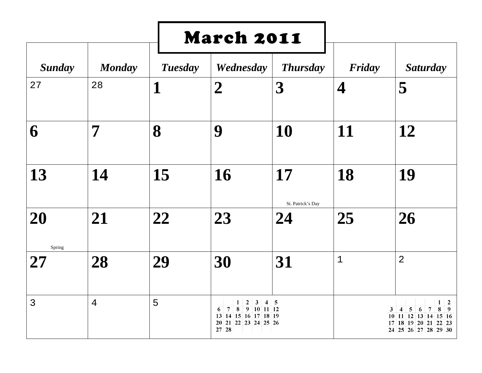|                |                |                | <b>March 2011</b>                                                                                                                               |                         |             |                                                                                                                   |
|----------------|----------------|----------------|-------------------------------------------------------------------------------------------------------------------------------------------------|-------------------------|-------------|-------------------------------------------------------------------------------------------------------------------|
| <b>Sunday</b>  | <b>Monday</b>  | <b>Tuesday</b> | Wednesday                                                                                                                                       | <b>Thursday</b>         | Friday      | <b>Saturday</b>                                                                                                   |
| 27             | 28             | 1              | $\boldsymbol{2}$                                                                                                                                | $\boldsymbol{3}$        | 4           | 5                                                                                                                 |
| 6              | 7              | 8              | 9                                                                                                                                               | 10                      | 11          | 12                                                                                                                |
| 13             | 14             | 15             | 16                                                                                                                                              | 17                      | 18          | 19                                                                                                                |
| 20             | 21             | 22             | 23                                                                                                                                              | St. Patrick's Day<br>24 | 25          | 26                                                                                                                |
| Spring<br>27   | 28             | 29             | 30                                                                                                                                              | 31                      | $\mathbf 1$ | $\overline{2}$                                                                                                    |
| $\overline{3}$ | $\overline{4}$ | 5              | $\mathbf{2}$<br>$\mathbf{3}$<br>1<br>$\overline{7}$<br>8<br>9<br>$10$ 11 12<br>6<br>14 15 16 17 18 19<br>13<br>20<br>21 22 23 24 25 26<br>27 28 | $4 \mid 5$              |             | 2<br>1<br>3<br>4<br>5<br>6<br>7<br>8<br>9<br>10 11 12 13 14 15 16<br>17 18 19 20 21 22 23<br>24 25 26 27 28 29 30 |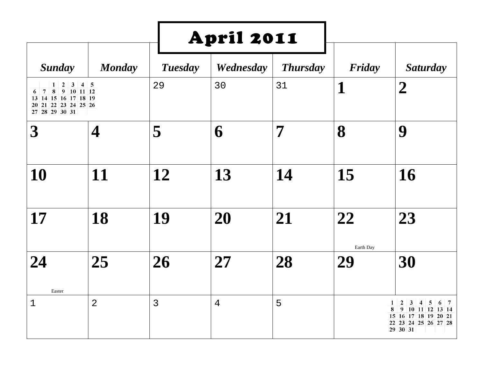|                                                                                                                                             |                  |                | <b>April 2011</b> |                 |                 |                                                                                                                                                          |  |
|---------------------------------------------------------------------------------------------------------------------------------------------|------------------|----------------|-------------------|-----------------|-----------------|----------------------------------------------------------------------------------------------------------------------------------------------------------|--|
| <b>Sunday</b>                                                                                                                               | <b>Monday</b>    | <b>Tuesday</b> | Wednesday         | <b>Thursday</b> | Friday          | <b>Saturday</b>                                                                                                                                          |  |
| $2\vert$<br>3 <sup>1</sup><br>1<br>8<br>9 10 11 12<br>$\overline{7}$<br>6<br>13 14 15 16 17 18 19<br>20 21 22 23 24 25 26<br>27 28 29 30 31 | $4 \overline{5}$ | 29             | 30                | 31              | $\mathbf 1$     | $\boldsymbol{2}$                                                                                                                                         |  |
| $\boldsymbol{3}$                                                                                                                            | 4                | 5              | 6                 | 7               | 8               | 9                                                                                                                                                        |  |
| 10                                                                                                                                          | 11               | 12             | 13                | 14              | 15              | 16                                                                                                                                                       |  |
| 17                                                                                                                                          | 18               | 19             | 20                | 21              | 22              | 23                                                                                                                                                       |  |
| 24<br>Easter                                                                                                                                | 25               | 26             | 27                | 28              | Earth Day<br>29 | 30                                                                                                                                                       |  |
| $\mathbf 1$                                                                                                                                 | $\overline{2}$   | $\overline{3}$ | 4                 | 5               |                 | 1<br>$\mathbf{2}$<br>3<br>$\overline{\mathbf{4}}$<br>5<br>6<br>7<br>8<br>9<br>10 11 12 13 14<br>15 16 17 18 19 20 21<br>22 23 24 25 26 27 28<br>29 30 31 |  |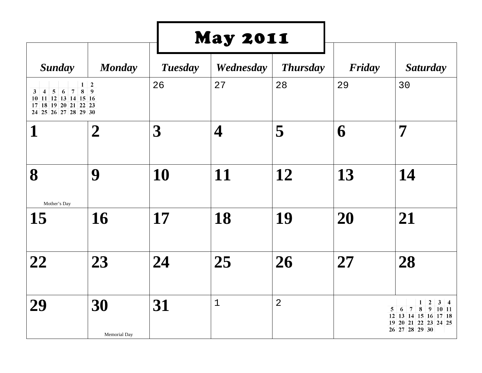|                                                                                                                                                            |                    |                  | <b>May 2011</b>         |                 |        |                                                                                                                                                                         |
|------------------------------------------------------------------------------------------------------------------------------------------------------------|--------------------|------------------|-------------------------|-----------------|--------|-------------------------------------------------------------------------------------------------------------------------------------------------------------------------|
| <b>Sunday</b>                                                                                                                                              | <b>Monday</b>      | <b>Tuesday</b>   | Wednesday               | <b>Thursday</b> | Friday | <b>Saturday</b>                                                                                                                                                         |
| 8<br>$4 \mid 5 \mid 6 \mid$<br>$\overline{7}$<br>3<br>$10$    $11$    $12$    $13$    $14$    $15$    $16$<br>17 18 19 20 21 22 23<br>24 25 26 27 28 29 30 | $1\quad 2$<br>9    | 26               | 27                      | 28              | 29     | 30                                                                                                                                                                      |
| 1                                                                                                                                                          | $\boldsymbol{2}$   | $\boldsymbol{3}$ | $\overline{\mathbf{4}}$ | 5               | 6      | 7                                                                                                                                                                       |
| 8<br>Mother's Day                                                                                                                                          | 9                  | 10               | 11                      | 12              | 13     | 14                                                                                                                                                                      |
| 15                                                                                                                                                         | <b>16</b>          | 17               | 18                      | 19              | 20     | 21                                                                                                                                                                      |
| 22                                                                                                                                                         | 23                 | 24               | 25                      | 26              | 27     | 28                                                                                                                                                                      |
| 29                                                                                                                                                         | 30<br>Memorial Day | 31               | $\mathbf{1}$            | $\overline{2}$  |        | $\mathbf{1}$<br>$\boldsymbol{2}$<br>$3 \mid 4$<br>$9 \t10 \t11$<br>5<br>6<br>$\overline{7}$<br>8<br>$12$ 13 14 15 16 17 18<br>20 21 22 23 24 25<br>19<br>26 27 28 29 30 |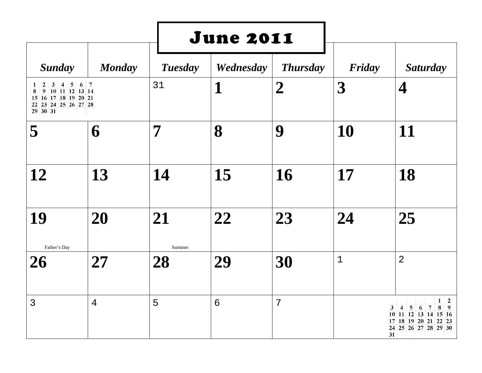|                                                                                                                                                                         |               |                | <b>June 2011</b> |                  |             |                                                                                                                                                                                        |
|-------------------------------------------------------------------------------------------------------------------------------------------------------------------------|---------------|----------------|------------------|------------------|-------------|----------------------------------------------------------------------------------------------------------------------------------------------------------------------------------------|
| <b>Sunday</b>                                                                                                                                                           | <b>Monday</b> | <b>Tuesday</b> | Wednesday        | <b>Thursday</b>  | Friday      | <b>Saturday</b>                                                                                                                                                                        |
| $\overline{2}$<br>$\overline{\mathbf{3}}$<br>$\overline{5}$<br>$\overline{4}$<br>1<br>9 10 11 12 13 14<br>8<br>15 16 17 18 19 20 21<br>22 23 24 25 26 27 28<br>29 30 31 | $6 \mid 7$    | 31             | $\mathbf 1$      | $\boldsymbol{2}$ | 3           | $\overline{\mathcal{A}}$                                                                                                                                                               |
| 5                                                                                                                                                                       | 6             | 7              | 8                | 9                | 10          | 11                                                                                                                                                                                     |
| 12                                                                                                                                                                      | 13            | 14             | 15               | 16               | 17          | 18                                                                                                                                                                                     |
| 19                                                                                                                                                                      | 20            | 21<br>Summer   | 22               | 23               | 24          | 25                                                                                                                                                                                     |
| Father's Day<br>26                                                                                                                                                      | 27            | 28             | 29               | 30               | $\mathbf 1$ | $\overline{2}$                                                                                                                                                                         |
| $\overline{3}$                                                                                                                                                          | 4             | 5              | 6                | 7                |             | $1 \quad 2$<br>$\boldsymbol{7}$<br>3<br>5<br>8<br>$\overline{4}$<br>6<br>9<br>$11 \,   12 \,   13 \,   14 \,   15 \,   16$<br>10<br>17 18 19 20 21 22 23<br>24 25 26 27 28 29 30<br>31 |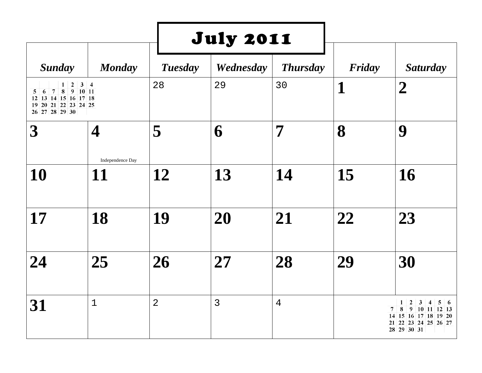|                                                                                                                                              |                        |                | <b>July 2011</b> |                 |        |                                                                                                                                                                                              |
|----------------------------------------------------------------------------------------------------------------------------------------------|------------------------|----------------|------------------|-----------------|--------|----------------------------------------------------------------------------------------------------------------------------------------------------------------------------------------------|
| <b>Sunday</b>                                                                                                                                | <b>Monday</b>          | <b>Tuesday</b> | Wednesday        | <b>Thursday</b> | Friday | <b>Saturday</b>                                                                                                                                                                              |
| $\boldsymbol{2}$<br>$1\vert$<br>8<br>$\overline{7}$<br>$9$ 10 11<br>6<br>5<br>12 13 14 15 16 17 18<br>19 20 21 22 23 24 25<br>26 27 28 29 30 | $3 \mid 4$             | 28             | 29               | 30              | 1      | $\boldsymbol{2}$                                                                                                                                                                             |
| $\boldsymbol{3}$                                                                                                                             | 4                      | 5              | 6                | 7               | 8      | 9                                                                                                                                                                                            |
| 10                                                                                                                                           | Independence Day<br>11 | 12             | 13               | 14              | 15     | 16                                                                                                                                                                                           |
| 17                                                                                                                                           | 18                     | 19             | 20               | 21              | 22     | 23                                                                                                                                                                                           |
| 24                                                                                                                                           | 25                     | 26             | 27               | 28              | 29     | 30                                                                                                                                                                                           |
| 31                                                                                                                                           | $\mathbf{1}$           | $\overline{2}$ | 3                | 4               |        | $\boldsymbol{2}$<br>$\mathbf{3}$<br>1<br>$\overline{\mathbf{4}}$<br>$5 \mid 6$<br>$\bf8$<br>$\overline{7}$<br>$9$ 10 11 12 13<br>14 15 16 17 18 19 20<br>21 22 23 24 25 26 27<br>28 29 30 31 |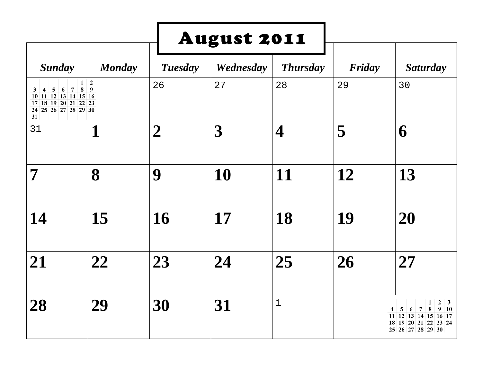|                                                                                                                                            |                                  |                  | <b>August 2011</b> |                 |        |                                                                                                                                           |
|--------------------------------------------------------------------------------------------------------------------------------------------|----------------------------------|------------------|--------------------|-----------------|--------|-------------------------------------------------------------------------------------------------------------------------------------------|
| <b>Sunday</b>                                                                                                                              | <b>Monday</b>                    | <b>Tuesday</b>   | Wednesday          | <b>Thursday</b> | Friday | <b>Saturday</b>                                                                                                                           |
| $\overline{5}$<br>6<br>$\overline{7}$<br>3<br>$\overline{4}$<br>10 11 12 13 14 15 16<br>17 18 19 20 21 22 23<br>24 25 26 27 28 29 30<br>31 | $1\overline{2}$<br>$\bf{8}$<br>9 | 26               | 27                 | 28              | 29     | 30                                                                                                                                        |
| 31                                                                                                                                         | $\mathbf 1$                      | $\boldsymbol{2}$ | 3                  | 4               | 5      | 6                                                                                                                                         |
| 7                                                                                                                                          | 8                                | 9                | 10                 | 11              | 12     | 13                                                                                                                                        |
| 14                                                                                                                                         | 15                               | 16               | 17                 | 18              | 19     | 20                                                                                                                                        |
| 21                                                                                                                                         | 22                               | 23               | 24                 | 25              | 26     | 27                                                                                                                                        |
| 28                                                                                                                                         | 29                               | 30               | 31                 | $1\,$           |        | 1<br>2<br>$\vert 3 \vert$<br>$\bf8$<br>$9-10$<br>5<br>7<br>4<br>6<br>11 12 13 14 15 16 17<br>18<br>19 20 21 22 23 24<br>25 26 27 28 29 30 |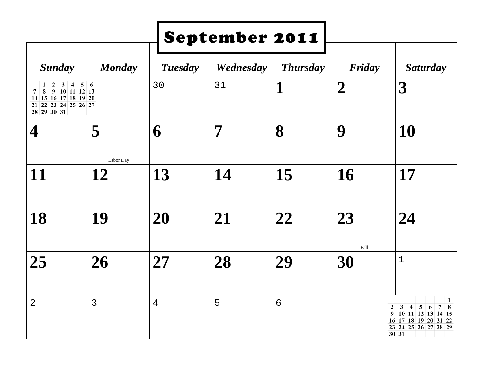|                                                                                                                                        |                 |                | September 2011 |                 |                  |                                                                                                                                                                                                      |
|----------------------------------------------------------------------------------------------------------------------------------------|-----------------|----------------|----------------|-----------------|------------------|------------------------------------------------------------------------------------------------------------------------------------------------------------------------------------------------------|
| <b>Sunday</b>                                                                                                                          | <b>Monday</b>   | <b>Tuesday</b> | Wednesday      | <b>Thursday</b> | Friday           | <b>Saturday</b>                                                                                                                                                                                      |
| $1 \vert 2$<br>3   4   5   6<br>8<br>$\vert$ 9<br>$10$ 11 12 13<br>7<br>15 16 17 18 19 20<br>14<br>21 22 23 24 25 26 27<br>28 29 30 31 |                 | 30             | 31             | 1               | $\boldsymbol{2}$ | $\boldsymbol{\beta}$                                                                                                                                                                                 |
| 4                                                                                                                                      | 5               | 6              | 7              | 8               | 9                | 10                                                                                                                                                                                                   |
| 11                                                                                                                                     | Labor Day<br>12 | 13             | 14             | 15              | 16               | 17                                                                                                                                                                                                   |
| 18                                                                                                                                     | 19              | 20             | 21             | 22              | 23               | 24                                                                                                                                                                                                   |
| 25                                                                                                                                     | 26              | 27             | 28             | 29              | Fall<br>30       | $\mathbf 1$                                                                                                                                                                                          |
| $\overline{2}$                                                                                                                         | 3               | $\overline{4}$ | 5              | $6\phantom{1}6$ |                  | 1<br>$5\phantom{.0}$<br>$\mathbf{3}$<br>$\vert 6$<br>$7\phantom{.0}$<br>2<br>$\overline{\mathbf{4}}$<br>8<br>$10$ 11 12 13 14 15<br>9<br>17 18 19 20 21 22<br>16<br>23<br>24 25 26 27 28 29<br>30 31 |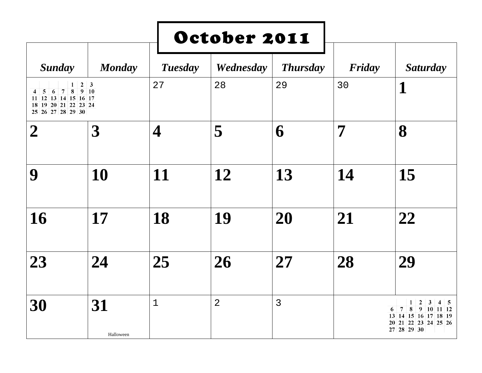|                                                                                                                                                    |                                 |                | October 2011   |                 |        |                                                                                                                                                            |
|----------------------------------------------------------------------------------------------------------------------------------------------------|---------------------------------|----------------|----------------|-----------------|--------|------------------------------------------------------------------------------------------------------------------------------------------------------------|
| <b>Sunday</b>                                                                                                                                      | <b>Monday</b>                   | <b>Tuesday</b> | Wednesday      | <b>Thursday</b> | Friday | <b>Saturday</b>                                                                                                                                            |
| $\mathbf{1}$<br>8 <sup>7</sup><br>$\overline{7}$<br>5<br>$6\phantom{.}6$<br>4<br>11 12 13 14 15 16 17<br>18 19 20 21 22 23 24<br>25 26 27 28 29 30 | $2 \mid 3$<br>$9 \overline{10}$ | 27             | 28             | 29              | 30     | 1                                                                                                                                                          |
| $\boldsymbol{2}$                                                                                                                                   | $\boldsymbol{3}$                | 4              | 5              | 6               | 7      | 8                                                                                                                                                          |
| 9                                                                                                                                                  | 10                              | 11             | 12             | 13              | 14     | 15                                                                                                                                                         |
| 16                                                                                                                                                 | 17                              | 18             | 19             | 20              | 21     | 22                                                                                                                                                         |
| 23                                                                                                                                                 | 24                              | 25             | 26             | 27              | 28     | 29                                                                                                                                                         |
| 30                                                                                                                                                 | 31<br>Halloween                 | $\mathbf 1$    | $\overline{2}$ | $\overline{3}$  |        | $\overline{2}$<br>3<br>1<br>$4 \overline{5}$<br>$\overline{7}$<br>8<br>9<br>$10$ 11 12<br>6<br>13 14 15 16 17 18 19<br>20 21 22 23 24 25 26<br>27 28 29 30 |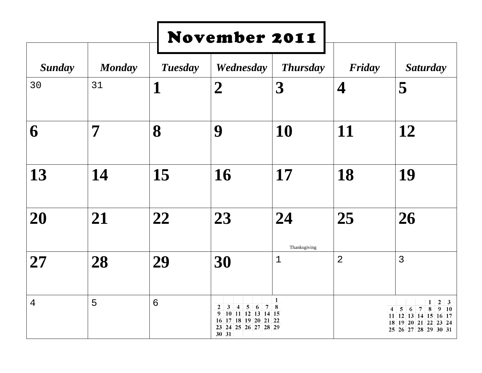|               |               |                 | <b>November 2011</b>                                                                                                                                                  |                             |                          |                                                                                                                                    |
|---------------|---------------|-----------------|-----------------------------------------------------------------------------------------------------------------------------------------------------------------------|-----------------------------|--------------------------|------------------------------------------------------------------------------------------------------------------------------------|
| <b>Sunday</b> | <b>Monday</b> | <b>Tuesday</b>  | Wednesday                                                                                                                                                             | <b>Thursday</b>             | Friday                   | <b>Saturday</b>                                                                                                                    |
| 30            | 31            | 1               | $\overline{2}$                                                                                                                                                        | $\boldsymbol{3}$            | $\overline{\mathcal{A}}$ | 5                                                                                                                                  |
| 6             | 7             | 8               | 9                                                                                                                                                                     | 10                          | 11                       | 12                                                                                                                                 |
| 13            | 14            | 15              | 16                                                                                                                                                                    | 17                          | 18                       | 19                                                                                                                                 |
| 20            | 21            | 22              | 23                                                                                                                                                                    | 24                          | 25                       | 26                                                                                                                                 |
| 27            | 28            | 29              | 30                                                                                                                                                                    | Thanksgiving<br>$\mathbf 1$ | $\overline{2}$           | 3                                                                                                                                  |
| 4             | 5             | $6\phantom{1}6$ | $\overline{\mathbf{5}}$<br>$\boldsymbol{2}$<br>3<br>6<br>$\overline{7}$<br>4<br>10 11 12 13 14 15<br>9<br>17 18 19 20 21 22<br>16<br>23<br>24 25 26 27 28 29<br>30 31 | 1<br>8                      |                          | 2<br>1<br>3<br>${\bf 8}$<br>9<br>7<br>10<br>5<br>6<br>4<br>11 12 13 14 15 16 17<br>19 20 21 22 23 24<br>18<br>25 26 27 28 29 30 31 |